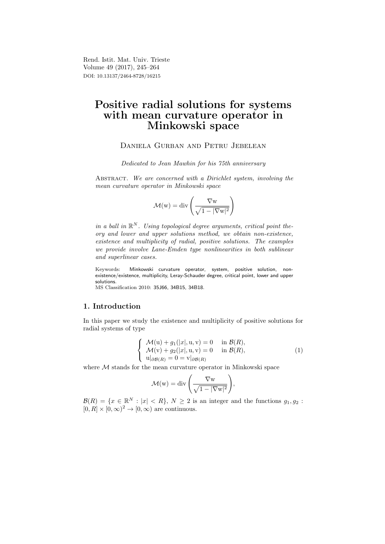Rend. Istit. Mat. Univ. Trieste Volume 49 (2017), 245–264 DOI: 10.13137/2464-8728/16215

# Positive radial solutions for systems with mean curvature operator in Minkowski space

# Daniela Gurban and Petru Jebelean

Dedicated to Jean Mawhin for his 75th anniversary

ABSTRACT. We are concerned with a Dirichlet system, involving the mean curvature operator in Minkowski space

$$
\mathcal{M}(w) = \text{div}\left(\frac{\nabla w}{\sqrt{1 - |\nabla w|^2}}\right)
$$

in a ball in  $\mathbb{R}^N$ . Using topological degree arguments, critical point theory and lower and upper solutions method, we obtain non-existence, existence and multiplicity of radial, positive solutions. The examples we provide involve Lane-Emden type nonlinearities in both sublinear and superlinear cases.

Keywords: Minkowski curvature operator, system, positive solution, nonexistence/existence, multiplicity, Leray-Schauder degree, critical point, lower and upper solutions.

MS Classification 2010: 35J66, 34B15, 34B18.

### 1. Introduction

In this paper we study the existence and multiplicity of positive solutions for radial systems of type

$$
\begin{cases}\n\mathcal{M}(\mathbf{u}) + g_1(|x|, \mathbf{u}, \mathbf{v}) = 0 & \text{in } \mathcal{B}(R), \\
\mathcal{M}(\mathbf{v}) + g_2(|x|, \mathbf{u}, \mathbf{v}) = 0 & \text{in } \mathcal{B}(R), \\
\mathbf{u}|_{\partial \mathcal{B}(R)} = 0 = \mathbf{v}|_{\partial \mathcal{B}(R)}\n\end{cases} (1)
$$

where  $M$  stands for the mean curvature operator in Minkowski space

$$
\mathcal{M}(w) = \text{div}\left(\frac{\nabla w}{\sqrt{1 - |\nabla w|^2}}\right),\,
$$

 $\mathcal{B}(R) = \{x \in \mathbb{R}^N : |x| < R\},\ N \geq 2$  is an integer and the functions  $g_1, g_2$ :  $[0, R] \times [0, \infty)^2 \rightarrow [0, \infty)$  are continuous.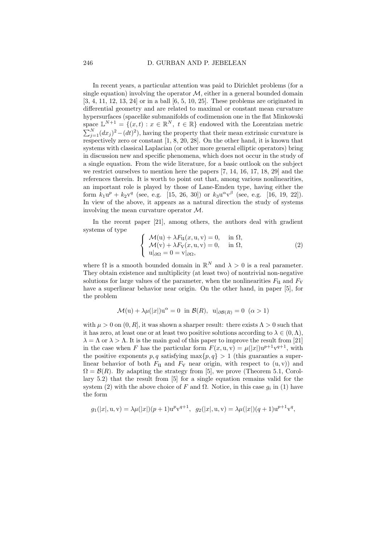#### 246 D. GURBAN AND P. JEBELEAN

In recent years, a particular attention was paid to Dirichlet problems (for a single equation) involving the operator  $M$ , either in a general bounded domain [3, 4, 11, 12, 13, 24] or in a ball [6, 5, 10, 25]. These problems are originated in differential geometry and are related to maximal or constant mean curvature hypersurfaces (spacelike submanifolds of codimension one in the flat Minkowski space  $\mathbb{L}^{N+1} = \{(x, t) : x \in \mathbb{R}^N, t \in \mathbb{R}\}\$ endowed with the Lorentzian metric  $\sum_{j=1}^{N} (dx_j)^2 - (dt)^2$ , having the property that their mean extrinsic curvature is respectively zero or constant  $[1, 8, 20, 28]$ . On the other hand, it is known that systems with classical Laplacian (or other more general elliptic operators) bring in discussion new and specific phenomena, which does not occur in the study of a single equation. From the wide literature, for a basic outlook on the subject we restrict ourselves to mention here the papers [7, 14, 16, 17, 18, 29] and the references therein. It is worth to point out that, among various nonlinearities, an important role is played by those of Lane-Emden type, having either the form  $k_1u^p + k_2v^q$  (see, e.g. [15, 26, 30]) or  $k_3u^{\alpha}v^{\beta}$  (see, e.g. [16, 19, 22]). In view of the above, it appears as a natural direction the study of systems involving the mean curvature operator M.

In the recent paper [21], among others, the authors deal with gradient systems of type

$$
\begin{cases}\n\mathcal{M}(\mathbf{u}) + \lambda F_{\mathbf{u}}(x, \mathbf{u}, \mathbf{v}) = 0, & \text{in } \Omega, \\
\mathcal{M}(\mathbf{v}) + \lambda F_{\mathbf{v}}(x, \mathbf{u}, \mathbf{v}) = 0, & \text{in } \Omega, \\
\mathbf{u}|_{\partial\Omega} = 0 = \mathbf{v}|_{\partial\Omega},\n\end{cases}
$$
\n(2)

where  $\Omega$  is a smooth bounded domain in  $\mathbb{R}^N$  and  $\lambda > 0$  is a real parameter. They obtain existence and multiplicity (at least two) of nontrivial non-negative solutions for large values of the parameter, when the nonlinearities  $F_{11}$  and  $F_{\rm V}$ have a superlinear behavior near origin. On the other hand, in paper [5], for the problem

$$
\mathcal{M}(\mathbf{u}) + \lambda \mu(|x|) \mathbf{u}^{\alpha} = 0 \text{ in } \mathcal{B}(R), \ \mathbf{u}|_{\partial \mathcal{B}(R)} = 0 \ (\alpha > 1)
$$

with  $\mu > 0$  on  $(0, R]$ , it was shown a sharper result: there exists  $\Lambda > 0$  such that it has zero, at least one or at least two positive solutions according to  $\lambda \in (0, \Lambda)$ ,  $\lambda = \Lambda$  or  $\lambda > \Lambda$ . It is the main goal of this paper to improve the result from [21] in the case when F has the particular form  $F(x, u, v) = \mu(|x|)u^{p+1}v^{q+1}$ , with the positive exponents p, q satisfying  $\max\{p, q\} > 1$  (this guaranties a superlinear behavior of both  $F_u$  and  $F_v$  near origin, with respect to  $(u, v)$  and  $\Omega = \mathcal{B}(R)$ . By adapting the strategy from [5], we prove (Theorem 5.1, Corollary 5.2) that the result from [5] for a single equation remains valid for the system (2) with the above choice of F and  $\Omega$ . Notice, in this case  $g_i$  in (1) have the form

$$
g_1(|x|, \mathbf{u}, \mathbf{v}) = \lambda \mu(|x|)(p+1)\mathbf{u}^p \mathbf{v}^{q+1}, \quad g_2(|x|, \mathbf{u}, \mathbf{v}) = \lambda \mu(|x|)(q+1)\mathbf{u}^{p+1} \mathbf{v}^q,
$$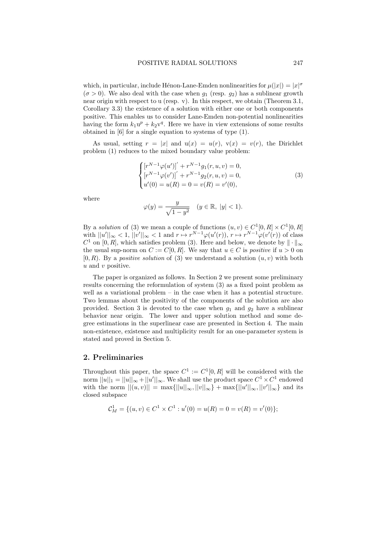which, in particular, include Hénon-Lane-Emden nonlinearities for  $\mu(|x|) = |x|^{\sigma}$  $(\sigma > 0)$ . We also deal with the case when  $g_1$  (resp.  $g_2$ ) has a sublinear growth near origin with respect to u (resp. v). In this respect, we obtain (Theorem 3.1, Corollary 3.3) the existence of a solution with either one or both components positive. This enables us to consider Lane-Emden non-potential nonlinearities having the form  $k_1u^p + k_2v^q$ . Here we have in view extensions of some results obtained in [6] for a single equation to systems of type (1).

As usual, setting  $r = |x|$  and  $u(x) = u(r)$ ,  $v(x) = v(r)$ , the Dirichlet problem (1) reduces to the mixed boundary value problem:

$$
\begin{cases}\n[r^{N-1}\varphi(u')]'+r^{N-1}g_1(r,u,v)=0, \\
[r^{N-1}\varphi(v')]'+r^{N-1}g_2(r,u,v)=0, \\
u'(0)=u(R)=0=v(R)=v'(0),\n\end{cases}
$$
\n(3)

where

$$
\varphi(y) = \frac{y}{\sqrt{1 - y^2}} \quad (y \in \mathbb{R}, \ |y| < 1).
$$

By a *solution* of (3) we mean a couple of functions  $(u, v) \in C^1[0, R] \times C^1[0, R]$ with  $||u'||_{\infty} < 1$ ,  $||v'||_{\infty} < 1$  and  $r \mapsto r^{N-1} \varphi(u'(r))$ ,  $r \mapsto r^{N-1} \varphi(v'(r))$  of class  $C^1$  on [0, R], which satisfies problem (3). Here and below, we denote by  $\|\cdot\|_{\infty}$ the usual sup-norm on  $C := C[0, R]$ . We say that  $u \in C$  is *positive* if  $u > 0$  on  $[0, R)$ . By a *positive solution* of (3) we understand a solution  $(u, v)$  with both  $u$  and  $v$  positive.

The paper is organized as follows. In Section 2 we present some preliminary results concerning the reformulation of system (3) as a fixed point problem as well as a variational problem – in the case when it has a potential structure. Two lemmas about the positivity of the components of the solution are also provided. Section 3 is devoted to the case when  $q_1$  and  $q_2$  have a sublinear behavior near origin. The lower and upper solution method and some degree estimations in the superlinear case are presented in Section 4. The main non-existence, existence and multiplicity result for an one-parameter system is stated and proved in Section 5.

### 2. Preliminaries

Throughout this paper, the space  $C^1 := C^1[0, R]$  will be considered with the norm  $||u||_1 = ||u||_{\infty} + ||u'||_{\infty}$ . We shall use the product space  $C^1 \times C^1$  endowed with the norm  $||(u, v)|| = \max{||u||_{\infty}, ||v||_{\infty}} + \max{||u'||_{\infty}, ||v'||_{\infty}}$  and its closed subspace

$$
C_M^1 = \{(u, v) \in C^1 \times C^1 : u'(0) = u(R) = 0 = v(R) = v'(0)\};
$$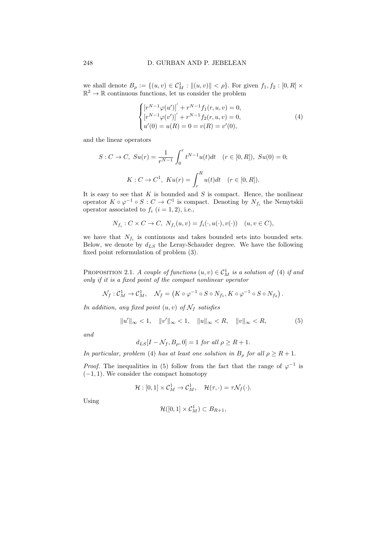we shall denote  $B_{\rho} := \{(u, v) \in C_M^1 : ||(u, v)|| < \rho\}$ . For given  $f_1, f_2 : [0, R] \times \mathbb{R}^2 \to \mathbb{R}$  continuous functions, let us consider the problem

$$
\begin{cases}\n[r^{N-1}\varphi(u')]' + r^{N-1}f_1(r, u, v) = 0, \\
[r^{N-1}\varphi(v')]' + r^{N-1}f_2(r, u, v) = 0, \\
u'(0) = u(R) = 0 = v(R) = v'(0),\n\end{cases}
$$
\n(4)

and the linear operators

$$
S: C \to C, \ S u(r) = \frac{1}{r^{N-1}} \int_0^r t^{N-1} u(t) dt \quad (r \in [0, R]), \ S u(0) = 0;
$$
  

$$
K: C \to C^1, \ Ku(r) = \int_r^R u(t) dt \quad (r \in [0, R]).
$$

It is easy to see that  $K$  is bounded and  $S$  is compact. Hence, the nonlinear operator  $K \circ \varphi^{-1} \circ S : C \to C^1$  is compact. Denoting by  $N_{f_i}$  the Nemytskii operator associated to  $f_i$   $(i = 1, 2)$ , i.e.,

$$
N_{f_i}: C \times C \to C, N_{f_i}(u, v) = f_i(\cdot, u(\cdot), v(\cdot)) \quad (u, v \in C),
$$

we have that  $N_{f_i}$  is continuous and takes bounded sets into bounded sets. Below, we denote by  $d_{LS}$  the Leray-Schauder degree. We have the following fixed point reformulation of problem (3).

PROPOSITION 2.1. A couple of functions  $(u, v) \in C^1_M$  is a solution of (4) if and only if it is a fixed point of the compact nonlinear operator

$$
\mathcal{N}_f: \mathcal{C}_M^1 \to \mathcal{C}_M^1, \quad \mathcal{N}_f = \left( K \circ \varphi^{-1} \circ S \circ N_{f_1}, K \circ \varphi^{-1} \circ S \circ N_{f_2} \right).
$$

In addition, any fixed point  $(u, v)$  of  $\mathcal{N}_f$  satisfies

$$
||u'||_{\infty} < 1, \quad ||v'||_{\infty} < 1, \quad ||u||_{\infty} < R, \quad ||v||_{\infty} < R, \tag{5}
$$

and

$$
d_{LS}[I - \mathcal{N}_f, B_\rho, 0] = 1 \text{ for all } \rho \ge R + 1.
$$

In particular, problem (4) has at least one solution in  $B_\rho$  for all  $\rho \geq R+1$ .

*Proof.* The inequalities in (5) follow from the fact that the range of  $\varphi^{-1}$  is  $(-1, 1)$ . We consider the compact homotopy

$$
\mathcal{H}:[0,1]\times\mathcal{C}_M^1\to\mathcal{C}_M^1,\quad \mathcal{H}(\tau,\cdot)=\tau\mathcal{N}_f(\cdot).
$$

Using

$$
\mathcal{H}([0,1]\times \mathcal{C}_M^1)\subset B_{R+1},
$$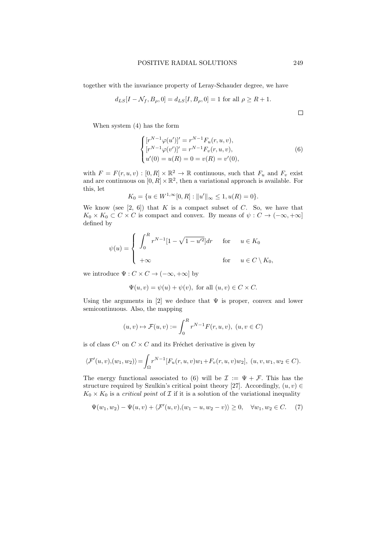#### POSITIVE RADIAL SOLUTIONS 249

together with the invariance property of Leray-Schauder degree, we have

$$
d_{LS}[I - N_f, B_{\rho}, 0] = d_{LS}[I, B_{\rho}, 0] = 1
$$
 for all  $\rho \ge R + 1$ .

 $\Box$ 

When system (4) has the form

$$
\begin{cases}\n[r^{N-1}\varphi(u')]' = r^{N-1}F_u(r, u, v), \\
[r^{N-1}\varphi(v')]' = r^{N-1}F_v(r, u, v), \\
u'(0) = u(R) = 0 = v(R) = v'(0),\n\end{cases}
$$
\n(6)

with  $F = F(r, u, v) : [0, R] \times \mathbb{R}^2 \to \mathbb{R}$  continuous, such that  $F_u$  and  $F_v$  exist and are continuous on  $[0, R] \times \mathbb{R}^2$ , then a variational approach is available. For this, let

$$
K_0 = \{ u \in W^{1,\infty}[0,R] : ||u'||_{\infty} \le 1, u(R) = 0 \}.
$$

We know (see  $[2, 6]$ ) that K is a compact subset of C. So, we have that  $K_0 \times K_0 \subset C \times C$  is compact and convex. By means of  $\psi : C \to (-\infty, +\infty]$ defined by

$$
\psi(u) = \begin{cases} \n\int_0^R r^{N-1} [1 - \sqrt{1 - u'^2}] dr & \text{for} \quad u \in K_0 \\ \n+\infty & \text{for} \quad u \in C \setminus K_0, \n\end{cases}
$$

we introduce  $\Psi : C \times C \to (-\infty, +\infty]$  by

$$
\Psi(u, v) = \psi(u) + \psi(v), \text{ for all } (u, v) \in C \times C.
$$

Using the arguments in [2] we deduce that  $\Psi$  is proper, convex and lower semicontinuous. Also, the mapping

$$
(u,v) \mapsto \mathcal{F}(u,v) := \int_0^R r^{N-1} F(r,u,v), \ (u,v \in C)
$$

is of class  $C^1$  on  $C \times C$  and its Fréchet derivative is given by

$$
\langle \mathcal{F}'(u,v), (w_1, w_2) \rangle = \int_{\Omega} r^{N-1} [F_u(r, u, v) w_1 + F_v(r, u, v) w_2], \ (u, v, w_1, w_2 \in C).
$$

The energy functional associated to (6) will be  $\mathcal{I} := \Psi + \mathcal{F}$ . This has the structure required by Szulkin's critical point theory [27]. Accordingly,  $(u, v) \in$  $K_0 \times K_0$  is a *critical point* of  $\mathcal I$  if it is a solution of the variational inequality

$$
\Psi(w_1, w_2) - \Psi(u, v) + \langle \mathcal{F}'(u, v), (w_1 - u, w_2 - v) \rangle \ge 0, \quad \forall w_1, w_2 \in C. \tag{7}
$$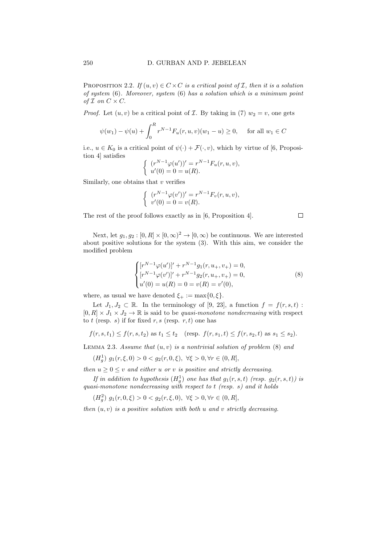PROPOSITION 2.2. If  $(u, v) \in C \times C$  is a critical point of *I*, then it is a solution of system (6). Moreover, system (6) has a solution which is a minimum point of  $\mathcal I$  on  $C \times C$ .

*Proof.* Let  $(u, v)$  be a critical point of *I*. By taking in (7)  $w_2 = v$ , one gets

$$
\psi(w_1) - \psi(u) + \int_0^R r^{N-1} F_u(r, u, v)(w_1 - u) \ge 0
$$
, for all  $w_1 \in C$ 

i.e.,  $u \in K_0$  is a critical point of  $\psi(\cdot) + \mathcal{F}(\cdot, v)$ , which by virtue of [6, Proposition 4] satisfies

$$
\begin{cases} (r^{N-1}\varphi(u'))' = r^{N-1}F_u(r, u, v), \\ u'(0) = 0 = u(R). \end{cases}
$$

Similarly, one obtains that  $v$  verifies

$$
\begin{cases} (r^{N-1}\varphi(v'))' = r^{N-1}F_v(r, u, v), \\ v'(0) = 0 = v(R). \end{cases}
$$

The rest of the proof follows exactly as in [6, Proposition 4].

Next, let  $g_1, g_2 : [0, R] \times [0, \infty)^2 \to [0, \infty)$  be continuous. We are interested about positive solutions for the system (3). With this aim, we consider the modified problem

$$
\begin{cases}\n[r^{N-1}\varphi(u')]'+r^{N-1}g_1(r,u_+,v_+)=0, \\
[r^{N-1}\varphi(v')]'+r^{N-1}g_2(r,u_+,v_+)=0, \\
u'(0)=u(R)=0=v(R)=v'(0),\n\end{cases}
$$
\n(8)

where, as usual we have denoted  $\xi_{+} := \max\{0, \xi\}.$ 

Let  $J_1, J_2 \subset \mathbb{R}$ . In the terminology of [9, 23], a function  $f = f(r, s, t)$ :  $[0, R] \times J_1 \times J_2 \to \mathbb{R}$  is said to be quasi-monotone nondecreasing with respect to t (resp. s) if for fixed  $r, s$  (resp.  $r, t$ ) one has

 $f(r, s, t_1) \leq f(r, s, t_2)$  as  $t_1 \leq t_2$  (resp.  $f(r, s_1, t) \leq f(r, s_2, t)$  as  $s_1 \leq s_2$ ).

LEMMA 2.3. Assume that  $(u, v)$  is a nontrivial solution of problem  $(8)$  and

 $(H_g^1)$   $g_1(r,\xi,0) > 0 < g_2(r,0,\xi), \ \forall \xi > 0, \forall r \in (0,R],$ 

then  $u \geq 0 \leq v$  and either u or v is positive and strictly decreasing.

If in addition to hypothesis  $(H_g^1)$  one has that  $g_1(r, s, t)$  (resp.  $g_2(r, s, t)$ ) is quasi-monotone nondecreasing with respect to  $t$  (resp. s) and it holds

 $(H_g^2)$   $g_1(r, 0, \xi) > 0 < g_2(r, \xi, 0), \ \forall \xi > 0, \forall r \in (0, R],$ 

then  $(u, v)$  is a positive solution with both u and v strictly decreasing.

 $\Box$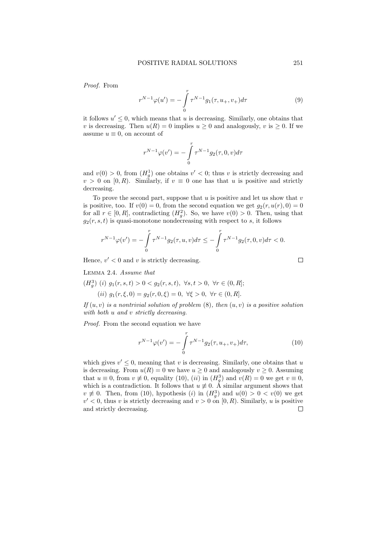Proof. From

$$
r^{N-1}\varphi(u') = -\int_{0}^{r} \tau^{N-1}g_1(\tau, u_+, v_+)d\tau
$$
\n(9)

it follows  $u' \leq 0$ , which means that u is decreasing. Similarly, one obtains that v is decreasing. Then  $u(R) = 0$  implies  $u \ge 0$  and analogously, v is  $\ge 0$ . If we assume  $u \equiv 0$ , on account of

$$
r^{N-1}\varphi(v') = -\int_{0}^{r} \tau^{N-1} g_2(\tau, 0, v) d\tau
$$

and  $v(0) > 0$ , from  $(H_g^1)$  one obtains  $v' < 0$ ; thus v is strictly decreasing and  $v > 0$  on [0, R). Similarly, if  $v \equiv 0$  one has that u is positive and strictly decreasing.

To prove the second part, suppose that  $u$  is positive and let us show that  $v$ is positive, too. If  $v(0) = 0$ , from the second equation we get  $g_2(r, u(r), 0) = 0$ for all  $r \in [0, R]$ , contradicting  $(H_g^2)$ . So, we have  $v(0) > 0$ . Then, using that  $g_2(r, s, t)$  is quasi-monotone nondecreasing with respect to s, it follows

$$
r^{N-1}\varphi(v') = -\int_{0}^{r} \tau^{N-1} g_2(\tau, u, v) d\tau \leq -\int_{0}^{r} \tau^{N-1} g_2(\tau, 0, v) d\tau < 0.
$$

Hence,  $v' < 0$  and v is strictly decreasing.

Lemma 2.4. Assume that

 $(H_g^3)$  (i)  $g_1(r, s, t) > 0 < g_2(r, s, t)$ ,  $\forall s, t > 0$ ,  $\forall r \in (0, R]$ ;

(ii)  $g_1(r, \xi, 0) = g_2(r, 0, \xi) = 0, \forall \xi > 0, \forall r \in (0, R].$ 

If  $(u, v)$  is a nontrivial solution of problem  $(8)$ , then  $(u, v)$  is a positive solution with both u and v strictly decreasing.

Proof. From the second equation we have

$$
r^{N-1}\varphi(v') = -\int_{0}^{r} \tau^{N-1} g_2(\tau, u_+, v_+) d\tau,
$$
\n(10)

which gives  $v' \leq 0$ , meaning that v is decreasing. Similarly, one obtains that u is decreasing. From  $u(R) = 0$  we have  $u \ge 0$  and analogously  $v \ge 0$ . Assuming that  $u \equiv 0$ , from  $v \not\equiv 0$ , equality (10), (*ii*) in  $(H_g^3)$  and  $v(R) = 0$  we get  $v \equiv 0$ , which is a contradiction. It follows that  $u \neq 0$ . A similar argument shows that  $v \neq 0$ . Then, from (10), hypothesis (i) in  $(H_g^3)$  and  $u(0) > 0 < v(0)$  we get  $v' < 0$ , thus v is strictly decreasing and  $v > 0$  on [0, R). Similarly, u is positive and strictly decreasing. $\Box$ 

 $\Box$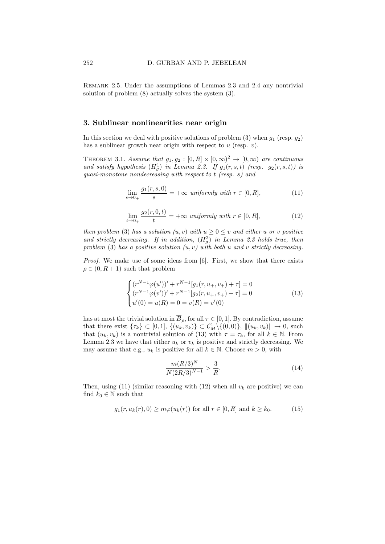Remark 2.5. Under the assumptions of Lemmas 2.3 and 2.4 any nontrivial solution of problem (8) actually solves the system (3).

# 3. Sublinear nonlinearities near origin

In this section we deal with positive solutions of problem  $(3)$  when  $g_1$  (resp.  $g_2$ ) has a sublinear growth near origin with respect to  $u$  (resp.  $v$ ).

THEOREM 3.1. Assume that  $g_1, g_2 : [0, R] \times [0, \infty)^2 \rightarrow [0, \infty)$  are continuous and satisfy hypothesis  $(H_g^1)$  in Lemma 2.3. If  $g_1(r, s, t)$  (resp.  $g_2(r, s, t)$ ) is quasi-monotone nondecreasing with respect to t (resp. s) and

$$
\lim_{s \to 0_+} \frac{g_1(r, s, 0)}{s} = +\infty \text{ uniformly with } r \in [0, R],
$$
\n(11)

$$
\lim_{t \to 0+} \frac{g_2(r, 0, t)}{t} = +\infty \text{ uniformly with } r \in [0, R],
$$
\n(12)

then problem (3) has a solution  $(u, v)$  with  $u \geq 0 \leq v$  and either u or v positive and strictly decreasing. If in addition,  $(H_g^2)$  in Lemma 2.3 holds true, then problem (3) has a positive solution  $(u, v)$  with both u and v strictly decreasing.

Proof. We make use of some ideas from [6]. First, we show that there exists  $\rho \in (0, R + 1)$  such that problem

$$
\begin{cases}\n(r^{N-1}\varphi(u'))' + r^{N-1}[g_1(r, u_+, v_+) + \tau] = 0 \\
(r^{N-1}\varphi(v'))' + r^{N-1}[g_2(r, u_+, v_+) + \tau] = 0 \\
u'(0) = u(R) = 0 = v(R) = v'(0)\n\end{cases}
$$
\n(13)

has at most the trivial solution in  $\overline{B}_{\rho}$ , for all  $\tau \in [0,1]$ . By contradiction, assume that there exist  $\{\tau_k\} \subset [0,1], \{(u_k, v_k)\} \subset C^1_M \setminus \{(0, 0)\}, ||(u_k, v_k)|| \to 0$ , such that  $(u_k, v_k)$  is a nontrivial solution of (13) with  $\tau = \tau_k$ , for all  $k \in \mathbb{N}$ . From Lemma 2.3 we have that either  $u_k$  or  $v_k$  is positive and strictly decreasing. We may assume that e.g.,  $u_k$  is positive for all  $k \in \mathbb{N}$ . Choose  $m > 0$ , with

$$
\frac{m(R/3)^N}{N(2R/3)^{N-1}} > \frac{3}{R}.\tag{14}
$$

Then, using (11) (similar reasoning with (12) when all  $v_k$  are positive) we can find  $k_0 \in \mathbb{N}$  such that

$$
g_1(r, u_k(r), 0) \ge m\varphi(u_k(r))
$$
 for all  $r \in [0, R]$  and  $k \ge k_0$ . (15)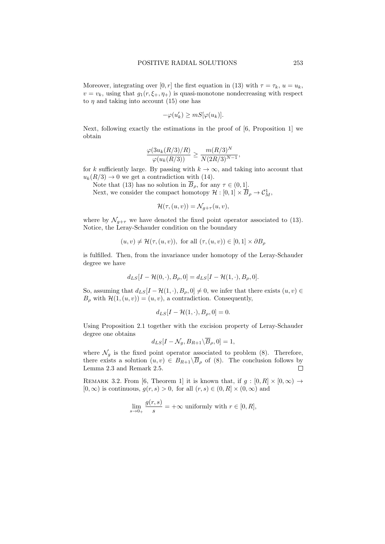Moreover, integrating over [0, r] the first equation in (13) with  $\tau = \tau_k$ ,  $u = u_k$ ,  $v = v_k$ , using that  $g_1(r, \xi_+, \eta_+)$  is quasi-monotone nondecreasing with respect to  $\eta$  and taking into account (15) one has

$$
-\varphi(u_k') \geq mS[\varphi(u_k)].
$$

Next, following exactly the estimations in the proof of [6, Proposition 1] we obtain

$$
\frac{\varphi(3u_k(R/3)/R)}{\varphi(u_k(R/3))} \ge \frac{m(R/3)^N}{N(2R/3)^{N-1}},
$$

for k sufficiently large. By passing with  $k \to \infty$ , and taking into account that  $u_k(R/3) \rightarrow 0$  we get a contradiction with (14).

Note that (13) has no solution in  $\overline{B}_{\rho}$ , for any  $\tau \in (0,1]$ . Next, we consider the compact homotopy  $\mathcal{H} : [0,1] \times \overline{B}_{\rho} \to \mathcal{C}_M^1$ ,

$$
\mathcal{H}(\tau,(u,v)) = \mathcal{N}_{g+\tau}(u,v),
$$

where by  $\mathcal{N}_{g+\tau}$  we have denoted the fixed point operator associated to (13). Notice, the Leray-Schauder condition on the boundary

$$
(u, v) \neq \mathcal{H}(\tau, (u, v)),
$$
 for all  $(\tau, (u, v)) \in [0, 1] \times \partial B_{\rho}$ 

is fulfilled. Then, from the invariance under homotopy of the Leray-Schauder degree we have

$$
d_{LS}[I - \mathcal{H}(0,\cdot), B_{\rho}, 0] = d_{LS}[I - \mathcal{H}(1,\cdot), B_{\rho}, 0].
$$

So, assuming that  $d_{LS}[I - \mathcal{H}(1, \cdot), B_{\rho}, 0] \neq 0$ , we infer that there exists  $(u, v) \in$  $B_{\rho}$  with  $\mathcal{H}(1,(u, v)) = (u, v)$ , a contradiction. Consequently,

$$
d_{LS}[I - \mathcal{H}(1,\cdot), B_{\rho}, 0] = 0.
$$

Using Proposition 2.1 together with the excision property of Leray-Schauder degree one obtains

$$
d_{LS}[I - \mathcal{N}_g, B_{R+1} \backslash B_\rho, 0] = 1,
$$

where  $\mathcal{N}_g$  is the fixed point operator associated to problem (8). Therefore, there exists a solution  $(u, v) \in B_{R+1} \backslash \overline{B}_{\rho}$  of (8). The conclusion follows by Lemma 2.3 and Remark 2.5.  $\Box$ 

REMARK 3.2. From [6, Theorem 1] it is known that, if  $g : [0, R] \times [0, \infty) \rightarrow$  $[0, \infty)$  is continuous,  $g(r, s) > 0$ , for all  $(r, s) \in (0, R] \times (0, \infty)$  and

$$
\lim_{s \to 0+} \frac{g(r,s)}{s} = +\infty
$$
 uniformly with  $r \in [0, R],$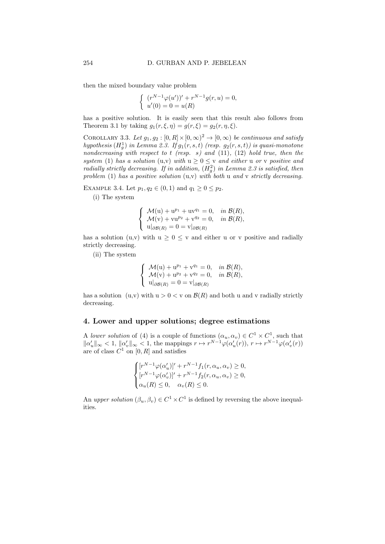then the mixed boundary value problem

$$
\begin{cases} (r^{N-1}\varphi(u'))' + r^{N-1}g(r,u) = 0, \\ u'(0) = 0 = u(R) \end{cases}
$$

has a positive solution. It is easily seen that this result also follows from Theorem 3.1 by taking  $g_1(r, \xi, \eta) = g(r, \xi) = g_2(r, \eta, \xi)$ .

COROLLARY 3.3. Let  $g_1, g_2 : [0, R] \times [0, \infty)^2 \to [0, \infty)$  be continuous and satisfy hypothesis  $(H_g^1)$  in Lemma 2.3. If  $g_1(r, s, t)$  (resp.  $g_2(r, s, t)$ ) is quasi-monotone nondecreasing with respect to t (resp. s) and  $(11)$ ,  $(12)$  hold true, then the system (1) has a solution (u,v) with  $u \geq 0 \leq v$  and either u or v positive and radially strictly decreasing. If in addition,  $(H_g^2)$  in Lemma 2.3 is satisfied, then problem (1) has a positive solution  $(u, v)$  with both u and v strictly decreasing.

EXAMPLE 3.4. Let  $p_1, q_2 \in (0, 1)$  and  $q_1 \geq 0 \leq p_2$ .

(i) The system

$$
\begin{cases}\n\mathcal{M}(\mathbf{u}) + \mathbf{u}^{p_1} + \mathbf{u}\mathbf{v}^{q_1} = 0, & \text{in } \mathcal{B}(R), \\
\mathcal{M}(\mathbf{v}) + \mathbf{v}\mathbf{u}^{p_2} + \mathbf{v}^{q_2} = 0, & \text{in } \mathcal{B}(R), \\
\mathbf{u}|_{\partial \mathcal{B}(R)} = 0 = \mathbf{v}|_{\partial \mathcal{B}(R)}\n\end{cases}
$$

has a solution (u,v) with  $u > 0 < v$  and either u or v positive and radially strictly decreasing.

(ii) The system

$$
\begin{cases}\n\mathcal{M}(\mathbf{u}) + \mathbf{u}^{p_1} + \mathbf{v}^{q_1} = 0, & \text{in } \mathcal{B}(R), \\
\mathcal{M}(\mathbf{v}) + \mathbf{u}^{p_2} + \mathbf{v}^{q_2} = 0, & \text{in } \mathcal{B}(R), \\
\mathbf{u}|_{\partial \mathcal{B}(R)} = 0 = \mathbf{v}|_{\partial \mathcal{B}(R)}\n\end{cases}
$$

has a solution (u,v) with  $u > 0 < v$  on  $\mathcal{B}(R)$  and both u and v radially strictly decreasing.

# 4. Lower and upper solutions; degree estimations

A lower solution of (4) is a couple of functions  $(\alpha_u, \alpha_v) \in C^1 \times C^1$ , such that  $\|\alpha'_u\|_{\infty} < 1, \|\alpha'_v\|_{\infty} < 1$ , the mappings  $r \mapsto r^{N-1}\varphi(\alpha'_u(r)), r \mapsto r^{N-1}\varphi(\alpha'_v(r))$ are of class  $C^1$  on  $[0, R]$  and satisfies

$$
\begin{cases}\n[r^{N-1}\varphi(\alpha_u')]' + r^{N-1}f_1(r, \alpha_u, \alpha_v) \ge 0, \\
[r^{N-1}\varphi(\alpha_v')]' + r^{N-1}f_2(r, \alpha_u, \alpha_v) \ge 0, \\
\alpha_u(R) \le 0, \quad \alpha_v(R) \le 0.\n\end{cases}
$$

An upper solution  $(\beta_u, \beta_v) \in C^1 \times C^1$  is defined by reversing the above inequalities.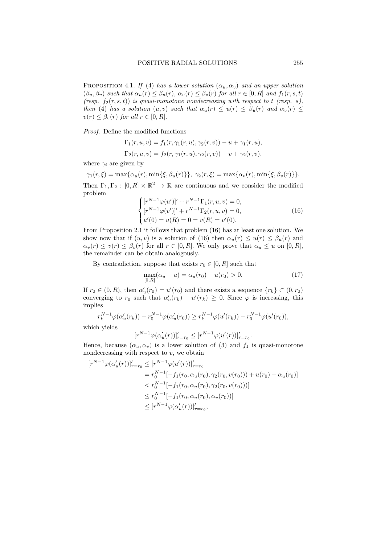PROPOSITION 4.1. If (4) has a lower solution  $(\alpha_u, \alpha_v)$  and an upper solution  $(\beta_u, \beta_v)$  such that  $\alpha_u(r) \leq \beta_u(r)$ ,  $\alpha_v(r) \leq \beta_v(r)$  for all  $r \in [0, R]$  and  $f_1(r, s, t)$ (resp.  $f_2(r, s, t)$ ) is quasi-monotone nondecreasing with respect to t (resp. s), then (4) has a solution  $(u, v)$  such that  $\alpha_u(r) \leq u(r) \leq \beta_u(r)$  and  $\alpha_v(r) \leq$  $v(r) \leq \beta_v(r)$  for all  $r \in [0, R]$ .

Proof. Define the modified functions

$$
\Gamma_1(r, u, v) = f_1(r, \gamma_1(r, u), \gamma_2(r, v)) - u + \gamma_1(r, u),
$$
  
\n
$$
\Gamma_2(r, u, v) = f_2(r, \gamma_1(r, u), \gamma_2(r, v)) - v + \gamma_2(r, v).
$$

where  $\gamma_i$  are given by

$$
\gamma_1(r,\xi) = \max\{\alpha_u(r), \min\{\xi, \beta_u(r)\}\}, \quad \gamma_2(r,\xi) = \max\{\alpha_v(r), \min\{\xi, \beta_v(r)\}\}.
$$

Then  $\Gamma_1, \Gamma_2 : [0, R] \times \mathbb{R}^2 \to \mathbb{R}$  are continuous and we consider the modified problem

$$
\begin{cases}\n[r^{N-1}\varphi(u')]' + r^{N-1}\Gamma_1(r, u, v) = 0, \\
[r^{N-1}\varphi(v')]' + r^{N-1}\Gamma_2(r, u, v) = 0, \\
u'(0) = u(R) = 0 = v(R) = v'(0).\n\end{cases}
$$
\n(16)

From Proposition 2.1 it follows that problem (16) has at least one solution. We show now that if  $(u, v)$  is a solution of (16) then  $\alpha_u(r) \leq u(r) \leq \beta_u(r)$  and  $\alpha_v(r) \le v(r) \le \beta_v(r)$  for all  $r \in [0, R]$ . We only prove that  $\alpha_u \le u$  on  $[0, R]$ , the remainder can be obtain analogously.

By contradiction, suppose that exists  $r_0 \in [0, R]$  such that

$$
\max_{[0,R]} (\alpha_u - u) = \alpha_u(r_0) - u(r_0) > 0.
$$
 (17)

.

If  $r_0 \in (0, R)$ , then  $\alpha'_u(r_0) = u'(r_0)$  and there exists a sequence  $\{r_k\} \subset (0, r_0)$ converging to  $r_0$  such that  $\alpha'_u(r_k) - u'(r_k) \geq 0$ . Since  $\varphi$  is increasing, this implies

$$
r_k^{N-1}\varphi(\alpha'_u(r_k)) - r_0^{N-1}\varphi(\alpha'_u(r_0)) \ge r_k^{N-1}\varphi(u'(r_k)) - r_0^{N-1}\varphi(u'(r_0)),
$$

which yields

$$
[r^{N-1}\varphi(\alpha_u'(r))]'_{r=r_0} \le [r^{N-1}\varphi(u'(r))]'_{r=r_0}
$$

Hence, because  $(\alpha_u, \alpha_v)$  is a lower solution of (3) and  $f_1$  is quasi-monotone nondecreasing with respect to  $v$ , we obtain

$$
[r^{N-1}\varphi(\alpha'_u(r))]'_{r=r_0} \le [r^{N-1}\varphi(u'(r))]'_{r=r_0}
$$
  
=  $r_0^{N-1}[-f_1(r_0, \alpha_u(r_0), \gamma_2(r_0, v(r_0))) + u(r_0) - \alpha_u(r_0)]$   
 $< r_0^{N-1}[-f_1(r_0, \alpha_u(r_0), \gamma_2(r_0, v(r_0)))]$   
 $\le r_0^{N-1}[-f_1(r_0, \alpha_u(r_0), \alpha_v(r_0))]$   
 $\le [r^{N-1}\varphi(\alpha'_u(r))]'_{r=r_0},$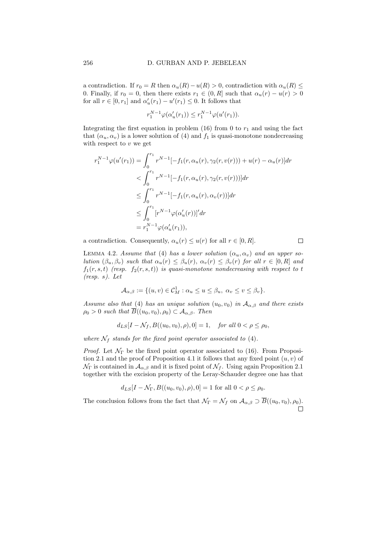a contradiction. If  $r_0 = R$  then  $\alpha_u(R) - u(R) > 0$ , contradiction with  $\alpha_u(R) \leq$ 0. Finally, if  $r_0 = 0$ , then there exists  $r_1 \in (0, R]$  such that  $\alpha_u(r) - u(r) > 0$ for all  $r \in [0, r_1]$  and  $\alpha'_u(r_1) - u'(r_1) \leq 0$ . It follows that

$$
r_1^{N-1}\varphi(\alpha'_u(r_1)) \le r_1^{N-1}\varphi(u'(r_1)).
$$

Integrating the first equation in problem (16) from 0 to  $r_1$  and using the fact that  $(\alpha_u, \alpha_v)$  is a lower solution of (4) and  $f_1$  is quasi-monotone nondecreasing with respect to  $v$  we get

$$
r_1^{N-1}\varphi(u'(r_1)) = \int_0^{r_1} r^{N-1}[-f_1(r, \alpha_u(r), \gamma_2(r, v(r))) + u(r) - \alpha_u(r)]dr
$$
  

$$
< \int_0^{r_1} r^{N-1}[-f_1(r, \alpha_u(r), \gamma_2(r, v(r)))]dr
$$
  

$$
\leq \int_0^{r_1} r^{N-1}[-f_1(r, \alpha_u(r), \alpha_v(r))]dr
$$
  

$$
\leq \int_0^{r_1} [r^{N-1}\varphi(\alpha_u'(r))]^r dr
$$
  

$$
= r_1^{N-1}\varphi(\alpha_u'(r_1)),
$$

a contradiction. Consequently,  $\alpha_u(r) \leq u(r)$  for all  $r \in [0, R]$ .

$$
\Box
$$

LEMMA 4.2. Assume that (4) has a lower solution  $(\alpha_u, \alpha_v)$  and an upper solution  $(\beta_u, \beta_v)$  such that  $\alpha_u(r) \leq \beta_u(r)$ ,  $\alpha_v(r) \leq \beta_v(r)$  for all  $r \in [0, R]$  and  $f_1(r, s, t)$  (resp.  $f_2(r, s, t)$ ) is quasi-monotone nondecreasing with respect to t (resp. s). Let

$$
\mathcal{A}_{\alpha,\beta} := \{ (u,v) \in \mathcal{C}_M^1 : \alpha_u \le u \le \beta_u, \ \alpha_v \le v \le \beta_v \}.
$$

Assume also that (4) has an unique solution  $(u_0, v_0)$  in  $\mathcal{A}_{\alpha, \beta}$  and there exists  $\rho_0 > 0$  such that  $\overline{B}((u_0, v_0), \rho_0) \subset A_{\alpha, \beta}$ . Then

$$
d_{LS}[I - N_f, B((u_0, v_0), \rho), 0] = 1
$$
, for all  $0 < \rho \le \rho_0$ ,

where  $\mathcal{N}_f$  stands for the fixed point operator associated to (4).

*Proof.* Let  $\mathcal{N}_{\Gamma}$  be the fixed point operator associated to (16). From Proposition 2.1 and the proof of Proposition 4.1 it follows that any fixed point  $(u, v)$  of  $\mathcal{N}_{\Gamma}$  is contained in  $\mathcal{A}_{\alpha,\beta}$  and it is fixed point of  $\mathcal{N}_f$ . Using again Proposition 2.1 together with the excision property of the Leray-Schauder degree one has that

$$
d_{LS}[I - \mathcal{N}_{\Gamma}, B((u_0, v_0), \rho), 0] = 1
$$
 for all  $0 < \rho \le \rho_0$ .

The conclusion follows from the fact that  $\mathcal{N}_{\Gamma} = \mathcal{N}_f$  on  $\mathcal{A}_{\alpha,\beta} \supset \overline{B}((u_0, v_0), \rho_0)$ .  $\Box$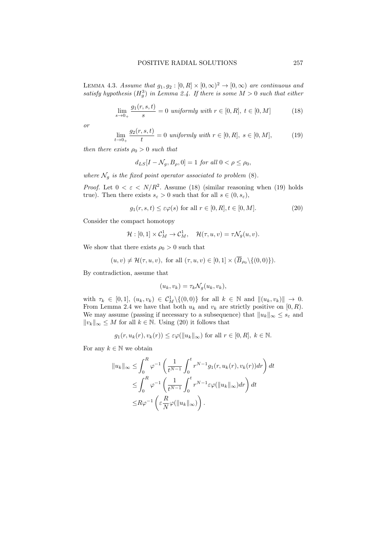LEMMA 4.3. Assume that  $g_1, g_2 : [0, R] \times [0, \infty)^2 \to [0, \infty)$  are continuous and satisfy hypothesis  $(H_g^3)$  in Lemma 2.4. If there is some  $M > 0$  such that either

$$
\lim_{s \to 0+} \frac{g_1(r, s, t)}{s} = 0 \text{ uniformly with } r \in [0, R], t \in [0, M]
$$
 (18)

or

$$
\lim_{t \to 0+} \frac{g_2(r, s, t)}{t} = 0 \text{ uniformly with } r \in [0, R], s \in [0, M],
$$
 (19)

then there exists  $\rho_0 > 0$  such that

$$
d_{LS}[I - \mathcal{N}_g, B_\rho, 0] = 1 \text{ for all } 0 < \rho \le \rho_0,
$$

where  $\mathcal{N}_q$  is the fixed point operator associated to problem (8).

*Proof.* Let  $0 < \varepsilon < N/R^2$ . Assume (18) (similar reasoning when (19) holds true). Then there exists  $s_{\varepsilon} > 0$  such that for all  $s \in (0, s_{\varepsilon}),$ 

$$
g_1(r, s, t) \le \varepsilon \varphi(s) \text{ for all } r \in [0, R], t \in [0, M].
$$
 (20)

Consider the compact homotopy

$$
\mathcal{H}:[0,1]\times\mathcal{C}_M^1\to\mathcal{C}_M^1,\quad \mathcal{H}(\tau,u,v)=\tau\mathcal{N}_g(u,v).
$$

We show that there exists  $\rho_0 > 0$  such that

$$
(u, v) \neq \mathcal{H}(\tau, u, v)
$$
, for all  $(\tau, u, v) \in [0, 1] \times (\overline{B}_{\rho_0} \setminus \{(0, 0)\})$ .

By contradiction, assume that

$$
(u_k, v_k) = \tau_k \mathcal{N}_g(u_k, v_k),
$$

with  $\tau_k \in [0, 1], (u_k, v_k) \in C^1_M \setminus \{(0, 0)\}\$ for all  $k \in \mathbb{N}$  and  $\|(u_k, v_k)\| \to 0$ . From Lemma 2.4 we have that both  $u_k$  and  $v_k$  are strictly positive on  $[0, R)$ . We may assume (passing if necessary to a subsequence) that  $||u_k||_{\infty} \leq s_{\varepsilon}$  and  $||v_k||_{\infty}$  ≤ M for all  $k \in \mathbb{N}$ . Using (20) it follows that

$$
g_1(r, u_k(r), v_k(r)) \leq \varepsilon \varphi(||u_k||_{\infty})
$$
 for all  $r \in [0, R]$ ,  $k \in \mathbb{N}$ .

For any  $k \in \mathbb{N}$  we obtain

$$
||u_k||_{\infty} \leq \int_0^R \varphi^{-1} \left( \frac{1}{t^{N-1}} \int_0^t r^{N-1} g_1(r, u_k(r), v_k(r)) dr \right) dt
$$
  

$$
\leq \int_0^R \varphi^{-1} \left( \frac{1}{t^{N-1}} \int_0^t r^{N-1} \varepsilon \varphi(||u_k||_{\infty}) dr \right) dt
$$
  

$$
\leq R \varphi^{-1} \left( \varepsilon \frac{R}{N} \varphi(||u_k||_{\infty}) \right).
$$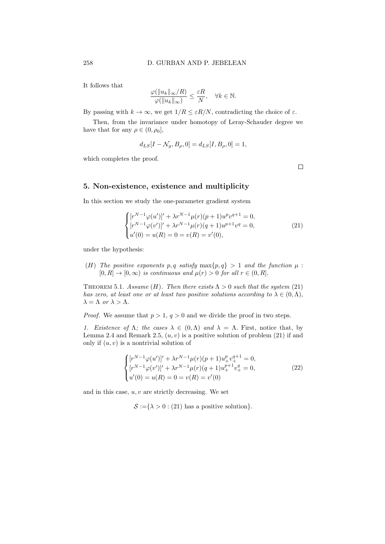It follows that

$$
\frac{\varphi(\|u_k\|_{\infty}/R)}{\varphi(\|u_k\|_{\infty})} \leq \frac{\varepsilon R}{N}, \quad \forall k \in \mathbb{N}.
$$

By passing with  $k \to \infty$ , we get  $1/R \leq \varepsilon R/N$ , contradicting the choice of  $\varepsilon$ .

Then, from the invariance under homotopy of Leray-Schauder degree we have that for any  $\rho \in (0, \rho_0]$ ,

$$
d_{LS}[I - N_g, B_{\rho}, 0] = d_{LS}[I, B_{\rho}, 0] = 1,
$$

which completes the proof.

 $\Box$ 

## 5. Non-existence, existence and multiplicity

In this section we study the one-parameter gradient system

$$
\begin{cases}\n[r^{N-1}\varphi(u')]' + \lambda r^{N-1}\mu(r)(p+1)u^pv^{q+1} = 0, \\
[r^{N-1}\varphi(v')]' + \lambda r^{N-1}\mu(r)(q+1)u^{p+1}v^q = 0, \\
u'(0) = u(R) = 0 = v(R) = v'(0),\n\end{cases}
$$
\n(21)

under the hypothesis:

(H) The positive exponents p, q satisfy  $\max\{p,q\} > 1$  and the function  $\mu$ :  $[0, R] \rightarrow [0, \infty)$  is continuous and  $\mu(r) > 0$  for all  $r \in (0, R]$ .

THEOREM 5.1. Assume (H). Then there exists  $\Lambda > 0$  such that the system (21) has zero, at least one or at least two positive solutions according to  $\lambda \in (0, \Lambda)$ ,  $\lambda = \Lambda$  or  $\lambda > \Lambda$ .

*Proof.* We assume that  $p > 1$ ,  $q > 0$  and we divide the proof in two steps.

1. Existence of  $\Lambda$ ; the cases  $\lambda \in (0,\Lambda)$  and  $\lambda = \Lambda$ . First, notice that, by Lemma 2.4 and Remark 2.5,  $(u, v)$  is a positive solution of problem  $(21)$  if and only if  $(u, v)$  is a nontrivial solution of

$$
\begin{cases}\n[r^{N-1}\varphi(u')]' + \lambda r^{N-1}\mu(r)(p+1)u_+^p v_+^{q+1} = 0, \\
[r^{N-1}\varphi(v')]' + \lambda r^{N-1}\mu(r)(q+1)u_+^{p+1}v_+^q = 0, \\
u'(0) = u(R) = 0 = v(R) = v'(0)\n\end{cases}
$$
\n(22)

and in this case,  $u, v$  are strictly decreasing. We set

 $\mathcal{S} := \{ \lambda > 0 : (21)$  has a positive solution.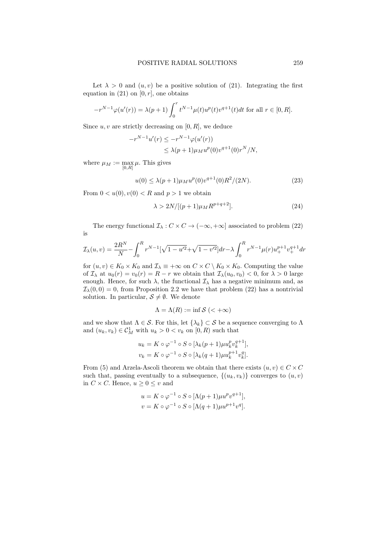Let  $\lambda > 0$  and  $(u, v)$  be a positive solution of (21). Integrating the first equation in (21) on  $[0, r]$ , one obtains

$$
-r^{N-1}\varphi(u'(r)) = \lambda(p+1)\int_0^r t^{N-1}\mu(t)u^p(t)v^{q+1}(t)dt \text{ for all } r \in [0, R].
$$

Since  $u, v$  are strictly decreasing on [0, R], we deduce

$$
-r^{N-1}u'(r) \leq -r^{N-1}\varphi(u'(r))
$$
  
 
$$
\leq \lambda(p+1)\mu_M u^p(0)v^{q+1}(0)r^N/N,
$$

where  $\mu_M := \max_{[0,R]} \mu$ . This gives

$$
u(0) \le \lambda (p+1)\mu_M u^p(0)v^{q+1}(0)R^2/(2N). \tag{23}
$$

From  $0 < u(0), v(0) < R$  and  $p > 1$  we obtain

$$
\lambda > 2N/[(p+1)\mu_M R^{p+q+2}].
$$
\n(24)

The energy functional  $\mathcal{I}_{\lambda}: C \times C \rightarrow (-\infty, +\infty]$  associated to problem (22) is

$$
\mathcal{I}_{\lambda}(u,v) = \frac{2R^N}{N} - \int_0^R r^{N-1} \left[\sqrt{1 - u'^2} + \sqrt{1 - v'^2}\right] dr - \lambda \int_0^R r^{N-1} \mu(r) u_+^{p+1} v_+^{q+1} dr
$$

for  $(u, v) \in K_0 \times K_0$  and  $\mathcal{I}_{\lambda} \equiv +\infty$  on  $C \times C \setminus K_0 \times K_0$ . Computing the value of  $\mathcal{I}_{\lambda}$  at  $u_0(r) = v_0(r) = R - r$  we obtain that  $\mathcal{I}_{\lambda}(u_0, v_0) < 0$ , for  $\lambda > 0$  large enough. Hence, for such  $\lambda$ , the functional  $\mathcal{I}_{\lambda}$  has a negative minimum and, as  $\mathcal{I}_{\lambda}(0,0) = 0$ , from Proposition 2.2 we have that problem (22) has a nontrivial solution. In particular,  $S \neq \emptyset$ . We denote

$$
\Lambda = \Lambda(R) := \inf \mathcal{S} (< +\infty)
$$

and we show that  $\Lambda \in \mathcal{S}$ . For this, let  $\{\lambda_k\} \subset \mathcal{S}$  be a sequence converging to  $\Lambda$ and  $(u_k, v_k) \in \mathcal{C}_M^1$  with  $u_k > 0 < v_k$  on  $[0, R)$  such that

$$
u_k = K \circ \varphi^{-1} \circ S \circ [\lambda_k (p+1) \mu u_k^p v_k^{q+1}],
$$
  

$$
v_k = K \circ \varphi^{-1} \circ S \circ [\lambda_k (q+1) \mu u_k^{p+1} v_k^q].
$$

From (5) and Arzela-Ascoli theorem we obtain that there exists  $(u, v) \in C \times C$ such that, passing eventually to a subsequence,  $\{(u_k, v_k)\}$  converges to  $(u, v)$ in  $C \times C$ . Hence,  $u \geq 0 \leq v$  and

$$
u = K \circ \varphi^{-1} \circ S \circ [\Lambda(p+1)\mu u^p v^{q+1}],
$$
  

$$
v = K \circ \varphi^{-1} \circ S \circ [\Lambda(q+1)\mu u^{p+1} v^q].
$$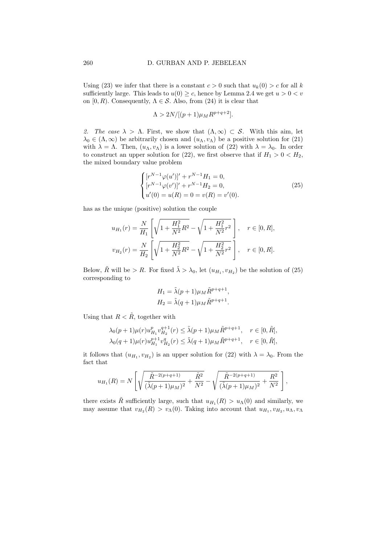Using (23) we infer that there is a constant  $c > 0$  such that  $u_k(0) > c$  for all k sufficiently large. This leads to  $u(0) \geq c$ , hence by Lemma 2.4 we get  $u > 0 < v$ on  $[0, R)$ . Consequently,  $\Lambda \in \mathcal{S}$ . Also, from (24) it is clear that

$$
\Lambda > 2N/[(p+1)\mu_M R^{p+q+2}].
$$

2. The case  $\lambda > \Lambda$ . First, we show that  $(\Lambda, \infty) \subset S$ . With this aim, let  $\lambda_0 \in (\Lambda, \infty)$  be arbitrarily chosen and  $(u_\Lambda, v_\Lambda)$  be a positive solution for (21) with  $\lambda = \Lambda$ . Then,  $(u_{\Lambda}, v_{\Lambda})$  is a lower solution of (22) with  $\lambda = \lambda_0$ . In order to construct an upper solution for (22), we first observe that if  $H_1 > 0 < H_2$ , the mixed boundary value problem

$$
\begin{cases}\n[r^{N-1}\varphi(u')]' + r^{N-1}H_1 = 0, \\
[r^{N-1}\varphi(v')]' + r^{N-1}H_2 = 0, \\
u'(0) = u(R) = 0 = v(R) = v'(0).\n\end{cases}
$$
\n(25)

has as the unique (positive) solution the couple

$$
u_{H_1}(r) = \frac{N}{H_1} \left[ \sqrt{1 + \frac{H_1^2}{N^2} R^2} - \sqrt{1 + \frac{H_1^2}{N^2} r^2} \right], \quad r \in [0, R],
$$
  

$$
v_{H_2}(r) = \frac{N}{H_2} \left[ \sqrt{1 + \frac{H_2^2}{N^2} R^2} - \sqrt{1 + \frac{H_2^2}{N^2} r^2} \right], \quad r \in [0, R].
$$

Below,  $\tilde{R}$  will be > R. For fixed  $\tilde{\lambda} > \lambda_0$ , let  $(u_{H_1}, v_{H_2})$  be the solution of (25) corresponding to

$$
H_1 = \tilde{\lambda}(p+1)\mu_M \tilde{R}^{p+q+1},
$$
  
\n
$$
H_2 = \tilde{\lambda}(q+1)\mu_M \tilde{R}^{p+q+1}.
$$

Using that  $R < \tilde{R}$ , together with

$$
\lambda_0(p+1)\mu(r)u_{H_1}^p v_{H_2}^{q+1}(r) \le \tilde{\lambda}(p+1)\mu_M \tilde{R}^{p+q+1}, \quad r \in [0, \tilde{R}],
$$
  

$$
\lambda_0(q+1)\mu(r)u_{H_1}^{p+1}v_{H_2}^q(r) \le \tilde{\lambda}(q+1)\mu_M \tilde{R}^{p+q+1}, \quad r \in [0, \tilde{R}],
$$

it follows that  $(u_{H_1}, v_{H_2})$  is an upper solution for (22) with  $\lambda = \lambda_0$ . From the fact that

$$
u_{H_1}(R) = N \left[ \sqrt{\frac{\tilde{R}^{-2(p+q+1)}}{(\tilde{\lambda}(p+1)\mu_M)^2} + \frac{\tilde{R}^2}{N^2}} - \sqrt{\frac{\tilde{R}^{-2(p+q+1)}}{(\tilde{\lambda}(p+1)\mu_M)^2} + \frac{R^2}{N^2}} \right],
$$

there exists  $\tilde{R}$  sufficiently large, such that  $u_{H_1}(R) > u_{\Lambda}(0)$  and similarly, we may assume that  $v_{H_2}(R) > v_{\Lambda}(0)$ . Taking into account that  $u_{H_1}, v_{H_2}, u_{\Lambda}, v_{\Lambda}$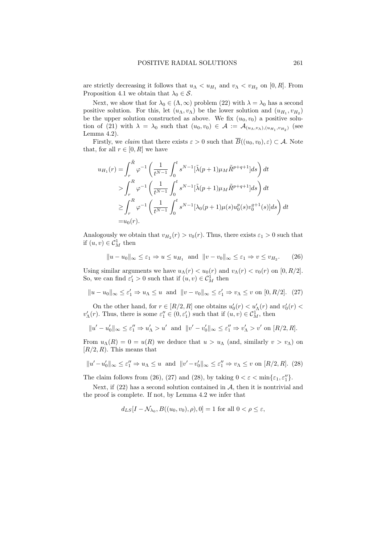are strictly decreasing it follows that  $u_{\Lambda} < u_{H_1}$  and  $v_{\Lambda} < v_{H_2}$  on [0, R]. From Proposition 4.1 we obtain that  $\lambda_0 \in \mathcal{S}$ .

Next, we show that for  $\lambda_0 \in (\Lambda, \infty)$  problem (22) with  $\lambda = \lambda_0$  has a second positive solution. For this, let  $(u_\Lambda, v_\Lambda)$  be the lower solution and  $(u_{H_1}, v_{H_2})$ be the upper solution constructed as above. We fix  $(u_0, v_0)$  a positive solution of (21) with  $\lambda = \lambda_0$  such that  $(u_0, v_0) \in \mathcal{A} := \mathcal{A}_{(u_\Lambda, v_\Lambda), (u_{H_1}, v_{H_2})}$  (see Lemma 4.2).

Firstly, we *claim* that there exists  $\varepsilon > 0$  such that  $\overline{B}((u_0, v_0), \varepsilon) \subset A$ . Note that, for all  $r \in [0, R]$  we have

$$
u_{H_1}(r) = \int_r^{\tilde{R}} \varphi^{-1} \left( \frac{1}{t^{N-1}} \int_0^t s^{N-1} [\tilde{\lambda}(p+1)\mu_M \tilde{R}^{p+q+1}] ds \right) dt
$$
  
> 
$$
\int_r^R \varphi^{-1} \left( \frac{1}{t^{N-1}} \int_0^t s^{N-1} [\tilde{\lambda}(p+1)\mu_M \tilde{R}^{p+q+1}] ds \right) dt
$$
  

$$
\geq \int_r^R \varphi^{-1} \left( \frac{1}{t^{N-1}} \int_0^t s^{N-1} [\lambda_0(p+1)\mu(s) u_0^p(s) v_0^{q+1}(s)] ds \right) dt
$$
  
=  $u_0(r).$ 

Analogously we obtain that  $v_{H_2}(r) > v_0(r)$ . Thus, there exists  $\varepsilon_1 > 0$  such that if  $(u, v) \in \mathcal{C}_M^1$  then

 $||u - u_0||_{\infty} \leq \varepsilon_1 \Rightarrow u \leq u_{H_1}$  and  $||v - v_0||_{\infty} \leq \varepsilon_1 \Rightarrow v \leq v_{H_2}$  $(26)$ 

Using similar arguments we have  $u_\Lambda(r) < u_0(r)$  and  $v_\Lambda(r) < v_0(r)$  on  $[0, R/2]$ . So, we can find  $\varepsilon'_1 > 0$  such that if  $(u, v) \in \mathcal{C}_M^1$  then

$$
||u - u_0||_{\infty} \le \varepsilon_1' \Rightarrow u_{\Lambda} \le u \text{ and } ||v - v_0||_{\infty} \le \varepsilon_1' \Rightarrow v_{\Lambda} \le v \text{ on } [0, R/2]. \tag{27}
$$

On the other hand, for  $r \in [R/2, R]$  one obtains  $u'_0(r) < u'_\Lambda(r)$  and  $v'_0(r) <$  $v'_\Lambda(r)$ . Thus, there is some  $\varepsilon''_1 \in (0, \varepsilon'_1)$  such that if  $(u, v) \in C_M^1$ , then

$$
||u'-u'_0||_{\infty} \le \varepsilon_1'' \Rightarrow u'_\Lambda > u' \text{ and } ||v'-v'_0||_{\infty} \le \varepsilon_1'' \Rightarrow v'_\Lambda > v' \text{ on } [R/2, R].
$$

From  $u_\Lambda(R) = 0 = u(R)$  we deduce that  $u > u_\Lambda$  (and, similarly  $v > v_\Lambda$ ) on  $[R/2, R]$ . This means that

$$
||u'-u'_0||_{\infty} \le \varepsilon_1'' \Rightarrow u_{\Lambda} \le u \text{ and } ||v'-v'_0||_{\infty} \le \varepsilon_1'' \Rightarrow v_{\Lambda} \le v \text{ on } [R/2, R]. \tag{28}
$$

The claim follows from (26), (27) and (28), by taking  $0 < \varepsilon < \min\{\varepsilon_1, \varepsilon_1''\}.$ 

Next, if  $(22)$  has a second solution contained in  $A$ , then it is nontrivial and the proof is complete. If not, by Lemma 4.2 we infer that

$$
d_{LS}[I - \mathcal{N}_{\lambda_0}, B((u_0, v_0), \rho), 0] = 1
$$
 for all  $0 < \rho \le \varepsilon$ ,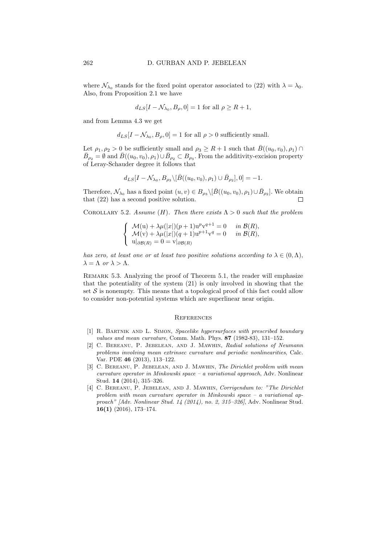where  $\mathcal{N}_{\lambda_0}$  stands for the fixed point operator associated to (22) with  $\lambda = \lambda_0$ . Also, from Proposition 2.1 we have

$$
d_{LS}[I - \mathcal{N}_{\lambda_0}, B_{\rho}, 0] = 1
$$
 for all  $\rho \ge R + 1$ ,

and from Lemma 4.3 we get

$$
d_{LS}[I - \mathcal{N}_{\lambda_0}, B_\rho, 0] = 1
$$
 for all  $\rho > 0$  sufficiently small.

Let  $\rho_1, \rho_2 > 0$  be sufficiently small and  $\rho_3 \geq R+1$  such that  $\bar{B}((u_0, v_0), \rho_1) \cap$  $\bar{B}_{\rho_2} = \emptyset$  and  $\bar{B}((u_0, v_0), \rho_1) \cup \bar{B}_{\rho_2} \subset B_{\rho_3}$ . From the additivity-excision property of Leray-Schauder degree it follows that

$$
d_{LS}[I - \mathcal{N}_{\lambda_0}, B_{\rho_3} \setminus [\bar{B}((u_0, v_0), \rho_1) \cup \bar{B}_{\rho_2}], 0] = -1.
$$

Therefore,  $\mathcal{N}_{\lambda_0}$  has a fixed point  $(u, v) \in B_{\rho_3} \setminus [\bar{B}((u_0, v_0), \rho_1) \cup \bar{B}_{\rho_2}]$ . We obtain that (22) has a second positive solution.  $\Box$ 

COROLLARY 5.2. Assume (H). Then there exists  $\Lambda > 0$  such that the problem

$$
\begin{cases}\n\mathcal{M}(\mathbf{u}) + \lambda \mu(|x|)(p+1)\mathbf{u}^p \mathbf{v}^{q+1} = 0 & \text{in } \mathcal{B}(R), \\
\mathcal{M}(\mathbf{v}) + \lambda \mu(|x|)(q+1)\mathbf{u}^{p+1} \mathbf{v}^q = 0 & \text{in } \mathcal{B}(R), \\
\mathbf{u}|_{\partial \mathcal{B}(R)} = 0 = \mathbf{v}|_{\partial \mathcal{B}(R)}\n\end{cases}
$$

has zero, at least one or at least two positive solutions according to  $\lambda \in (0, \Lambda)$ ,  $\lambda = \Lambda$  or  $\lambda > \Lambda$ .

REMARK 5.3. Analyzing the proof of Theorem 5.1, the reader will emphasize that the potentiality of the system (21) is only involved in showing that the set  $S$  is nonempty. This means that a topological proof of this fact could allow to consider non-potential systems which are superlinear near origin.

#### **REFERENCES**

- [1] R. Bartnik and L. Simon, Spacelike hypersurfaces with prescribed boundary values and mean curvature, Comm. Math. Phys. 87 (1982-83), 131–152.
- [2] C. Bereanu, P. Jebelean, and J. Mawhin, Radial solutions of Neumann problems involving mean extrinsec curvature and periodic nonlinearities, Calc. Var. PDE 46 (2013), 113–122.
- [3] C. BEREANU, P. JEBELEAN, AND J. MAWHIN, The Dirichlet problem with mean curvature operator in Minkowski space – a variational approach, Adv. Nonlinear Stud. 14 (2014), 315–326.
- [4] C. BEREANU, P. JEBELEAN, AND J. MAWHIN, Corrigendum to: "The Dirichlet problem with mean curvature operator in Minkowski space – a variational approach" [Adv. Nonlinear Stud. 14 (2014), no. 2, 315–326], Adv. Nonlinear Stud. 16(1) (2016), 173–174.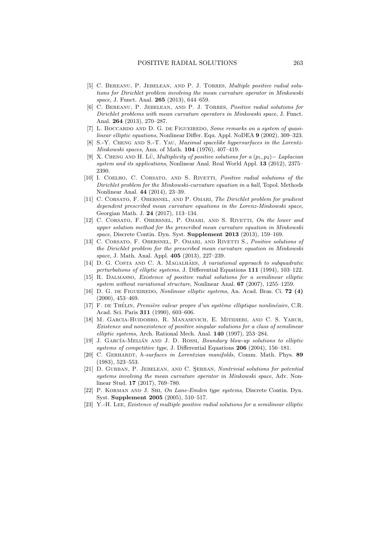- [5] C. BEREANU, P. JEBELEAN, AND P. J. TORRES, *Multiple positive radial solu*tions for Dirichlet problem involving the mean curvature operator in Minkowski space, J. Funct. Anal. **265** (2013), 644–659.
- [6] C. Bereanu, P. Jebelean, and P. J. Torres, Positive radial solutions for Dirichlet problems with mean curvature operators in Minkowski space, J. Funct. Anal. 264 (2013), 270–287.
- [7] L. BOCCARDO AND D. G. DE FIGUEIREDO, Some remarks on a system of quasilinear elliptic equations, Nonlinear Differ. Equ. Appl. NoDEA 9 (2002), 309–323.
- [8] S.-Y. Cheng and S.-T. Yau, Maximal spacelike hypersurfaces in the Lorentz-Minkowski spaces, Ann. of Math. 104 (1976), 407–419.
- [9] X. CHENG AND H. LÜ, Multiplicity of positive solutions for a  $(p_1, p_2)$  Laplacian system and its applications, Nonlinear Anal. Real World Appl. 13 (2012), 2375– 2390.
- [10] I. COELHO, C. CORSATO, AND S. RIVETTI, *Positive radial solutions of the* Dirichlet problem for the Minkowski-curvature equation in a ball, Topol. Methods Nonlinear Anal. 44 (2014), 23–39.
- [11] C. CORSATO, F. OBERSNEL, AND P. OMARI, The Dirichlet problem for gradient dependent prescribed mean curvature equations in the Lorenz-Minkowski space, Georgian Math. J. 24 (2017), 113–134.
- [12] C. Corsato, F. Obersnel, P. Omari, and S. Rivetti, On the lower and upper solution method for the prescribed mean curvature equation in Minkowski space, Discrete Contin. Dyn. Syst. Supplement 2013 (2013), 159–169.
- [13] C. CORSATO, F. OBERSNEL, P. OMARI, AND RIVETTI S., Positive solutions of the Dirichlet problem for the prescribed mean curvature equation in Minkowski space, J. Math. Anal. Appl. 405 (2013), 227–239.
- [14] D. G. COSTA AND C. A. MAGALHAES, A variational approach to subquadratic perturbations of elliptic systems, J. Differential Equations 111 (1994), 103–122.
- [15] R. Dalmasso, Existence of positive radial solutions for a semilinear elliptic system without variational structure, Nonlinear Anal. 67 (2007), 1255–1259.
- [16] D. G. DE FIGUEIREDO, *Nonlinear elliptic systems*, An. Acad. Bras. Ci. **72** (4) (2000), 453–469.
- [17] F. DE THÉLIN, Première valeur propre d'un système elliptique nonlinéaire, C.R. Acad. Sci. Paris 311 (1990), 603–606.
- [18] M. Garcia-Huidobro, R. Manasevich, E. Mitidieri, and C. S. Yarur, Existence and nonexistence of positive singular solutions for a class of semilinear elliptic systems, Arch. Rational Mech. Anal. 140 (1997), 253–284.
- [19] J. GARCÍA-MELIÁN AND J. D. ROSSI, *Boundary blow-up solutions to elliptic* systems of competitive type, J. Differential Equations 206 (2004), 156–181.
- [20] C. GERHARDT, h-surfaces in Lorentzian manifolds, Comm. Math. Phys. 89 (1983), 523–553.
- [21] D. GURBAN, P. JEBELEAN, AND C. SERBAN, Nontrivial solutions for potential systems involving the mean curvature operator in Minkowski space, Adv. Nonlinear Stud. 17 (2017), 769–780.
- [22] P. Korman and J. Shi, On Lane-Emden type systems, Discrete Contin. Dyn. Syst. Supplement 2005 (2005), 510–517.
- [23] Y.-H. Lee, Existence of multiple positive radial solutions for a semilinear elliptic